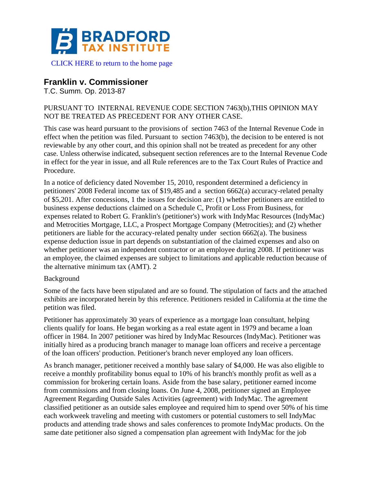

[CLICK HERE to return to the home page](https://bradfordtaxinstitute.com)

# **Franklin v. Commissioner**

T.C. Summ. Op. 2013-87

#### PURSUANT TO INTERNAL REVENUE CODE SECTION 7463(b),THIS OPINION MAY NOT BE TREATED AS PRECEDENT FOR ANY OTHER CASE.

This case was heard pursuant to the provisions of section 7463 of the Internal Revenue Code in effect when the petition was filed. Pursuant to section 7463(b), the decision to be entered is not reviewable by any other court, and this opinion shall not be treated as precedent for any other case. Unless otherwise indicated, subsequent section references are to the Internal Revenue Code in effect for the year in issue, and all Rule references are to the Tax Court Rules of Practice and Procedure.

In a notice of deficiency dated November 15, 2010, respondent determined a deficiency in petitioners' 2008 Federal income tax of \$19,485 and a section 6662(a) accuracy-related penalty of \$5,201. After concessions, 1 the issues for decision are: (1) whether petitioners are entitled to business expense deductions claimed on a Schedule C, Profit or Loss From Business, for expenses related to Robert G. Franklin's (petitioner's) work with IndyMac Resources (IndyMac) and Metrocities Mortgage, LLC, a Prospect Mortgage Company (Metrocities); and (2) whether petitioners are liable for the accuracy-related penalty under section 6662(a). The business expense deduction issue in part depends on substantiation of the claimed expenses and also on whether petitioner was an independent contractor or an employee during 2008. If petitioner was an employee, the claimed expenses are subject to limitations and applicable reduction because of the alternative minimum tax (AMT). 2

#### Background

Some of the facts have been stipulated and are so found. The stipulation of facts and the attached exhibits are incorporated herein by this reference. Petitioners resided in California at the time the petition was filed.

Petitioner has approximately 30 years of experience as a mortgage loan consultant, helping clients qualify for loans. He began working as a real estate agent in 1979 and became a loan officer in 1984. In 2007 petitioner was hired by IndyMac Resources (IndyMac). Petitioner was initially hired as a producing branch manager to manage loan officers and receive a percentage of the loan officers' production. Petitioner's branch never employed any loan officers.

As branch manager, petitioner received a monthly base salary of \$4,000. He was also eligible to receive a monthly profitability bonus equal to 10% of his branch's monthly profit as well as a commission for brokering certain loans. Aside from the base salary, petitioner earned income from commissions and from closing loans. On June 4, 2008, petitioner signed an Employee Agreement Regarding Outside Sales Activities (agreement) with IndyMac. The agreement classified petitioner as an outside sales employee and required him to spend over 50% of his time each workweek traveling and meeting with customers or potential customers to sell IndyMac products and attending trade shows and sales conferences to promote IndyMac products. On the same date petitioner also signed a compensation plan agreement with IndyMac for the job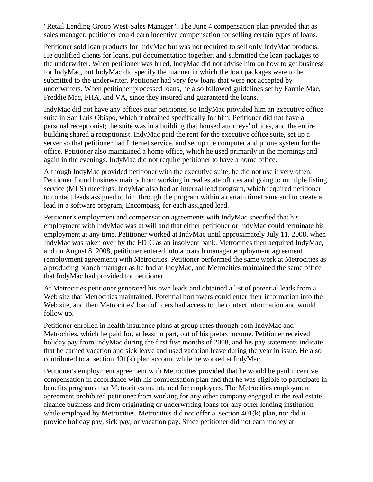"Retail Lending Group West-Sales Manager". The June 4 compensation plan provided that as sales manager, petitioner could earn incentive compensation for selling certain types of loans.

Petitioner sold loan products for IndyMac but was not required to sell only IndyMac products. He qualified clients for loans, put documentation together, and submitted the loan packages to the underwriter. When petitioner was hired, IndyMac did not advise him on how to get business for IndyMac, but IndyMac did specify the manner in which the loan packages were to be submitted to the underwriter. Petitioner had very few loans that were not accepted by underwriters. When petitioner processed loans, he also followed guidelines set by Fannie Mae, Freddie Mac, FHA, and VA, since they insured and guaranteed the loans.

IndyMac did not have any offices near petitioner, so IndyMac provided him an executive office suite in San Luis Obispo, which it obtained specifically for him. Petitioner did not have a personal receptionist; the suite was in a building that housed attorneys' offices, and the entire building shared a receptionist. IndyMac paid the rent for the executive office suite, set up a server so that petitioner had Internet service, and set up the computer and phone system for the office. Petitioner also maintained a home office, which he used primarily in the mornings and again in the evenings. IndyMac did not require petitioner to have a home office.

Although IndyMac provided petitioner with the executive suite, he did not use it very often. Petitioner found business mainly from working in real estate offices and going to multiple listing service (MLS) meetings. IndyMac also had an internal lead program, which required petitioner to contact leads assigned to him through the program within a certain timeframe and to create a lead in a software program, Encompass, for each assigned lead.

Petitioner's employment and compensation agreements with IndyMac specified that his employment with IndyMac was at will and that either petitioner or IndyMac could terminate his employment at any time. Petitioner worked at IndyMac until approximately July 11, 2008, when IndyMac was taken over by the FDIC as an insolvent bank. Metrocities then acquired IndyMac, and on August 8, 2008, petitioner entered into a branch manager employment agreement (employment agreement) with Metrocities. Petitioner performed the same work at Metrocities as a producing branch manager as he had at IndyMac, and Metrocities maintained the same office that IndyMac had provided for petitioner.

At Metrocities petitioner generated his own leads and obtained a list of potential leads from a Web site that Metrocities maintained. Potential borrowers could enter their information into the Web site, and then Metrocities' loan officers had access to the contact information and would follow up.

Petitioner enrolled in health insurance plans at group rates through both IndyMac and Metrocities, which he paid for, at least in part, out of his pretax income. Petitioner received holiday pay from IndyMac during the first five months of 2008, and his pay statements indicate that he earned vacation and sick leave and used vacation leave during the year in issue. He also contributed to a section 401(k) plan account while he worked at IndyMac.

Petitioner's employment agreement with Metrocities provided that he would be paid incentive compensation in accordance with his compensation plan and that he was eligible to participate in benefits programs that Metrocities maintained for employees. The Metrocities employment agreement prohibited petitioner from working for any other company engaged in the real estate finance business and from originating or underwriting loans for any other lending institution while employed by Metrocities. Metrocities did not offer a section 401(k) plan, nor did it provide holiday pay, sick pay, or vacation pay. Since petitioner did not earn money at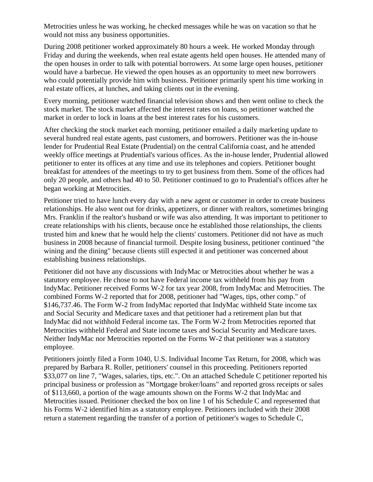Metrocities unless he was working, he checked messages while he was on vacation so that he would not miss any business opportunities.

During 2008 petitioner worked approximately 80 hours a week. He worked Monday through Friday and during the weekends, when real estate agents held open houses. He attended many of the open houses in order to talk with potential borrowers. At some large open houses, petitioner would have a barbecue. He viewed the open houses as an opportunity to meet new borrowers who could potentially provide him with business. Petitioner primarily spent his time working in real estate offices, at lunches, and taking clients out in the evening.

Every morning, petitioner watched financial television shows and then went online to check the stock market. The stock market affected the interest rates on loans, so petitioner watched the market in order to lock in loans at the best interest rates for his customers.

After checking the stock market each morning, petitioner emailed a daily marketing update to several hundred real estate agents, past customers, and borrowers. Petitioner was the in-house lender for Prudential Real Estate (Prudential) on the central California coast, and he attended weekly office meetings at Prudential's various offices. As the in-house lender, Prudential allowed petitioner to enter its offices at any time and use its telephones and copiers. Petitioner bought breakfast for attendees of the meetings to try to get business from them. Some of the offices had only 20 people, and others had 40 to 50. Petitioner continued to go to Prudential's offices after he began working at Metrocities.

Petitioner tried to have lunch every day with a new agent or customer in order to create business relationships. He also went out for drinks, appetizers, or dinner with realtors, sometimes bringing Mrs. Franklin if the realtor's husband or wife was also attending. It was important to petitioner to create relationships with his clients, because once he established those relationships, the clients trusted him and knew that he would help the clients' customers. Petitioner did not have as much business in 2008 because of financial turmoil. Despite losing business, petitioner continued "the wining and the dining" because clients still expected it and petitioner was concerned about establishing business relationships.

Petitioner did not have any discussions with IndyMac or Metrocities about whether he was a statutory employee. He chose to not have Federal income tax withheld from his pay from IndyMac. Petitioner received Forms W-2 for tax year 2008, from IndyMac and Metrocities. The combined Forms W-2 reported that for 2008, petitioner had "Wages, tips, other comp." of \$146,737.46. The Form W-2 from IndyMac reported that IndyMac withheld State income tax and Social Security and Medicare taxes and that petitioner had a retirement plan but that IndyMac did not withhold Federal income tax. The Form W-2 from Metrocities reported that Metrocities withheld Federal and State income taxes and Social Security and Medicare taxes. Neither IndyMac nor Metrocities reported on the Forms W-2 that petitioner was a statutory employee.

Petitioners jointly filed a Form 1040, U.S. Individual Income Tax Return, for 2008, which was prepared by Barbara R. Roller, petitioners' counsel in this proceeding. Petitioners reported \$33,077 on line 7, "Wages, salaries, tips, etc.". On an attached Schedule C petitioner reported his principal business or profession as "Mortgage broker/loans" and reported gross receipts or sales of \$113,660, a portion of the wage amounts shown on the Forms W-2 that IndyMac and Metrocities issued. Petitioner checked the box on line 1 of his Schedule C and represented that his Forms W-2 identified him as a statutory employee. Petitioners included with their 2008 return a statement regarding the transfer of a portion of petitioner's wages to Schedule C,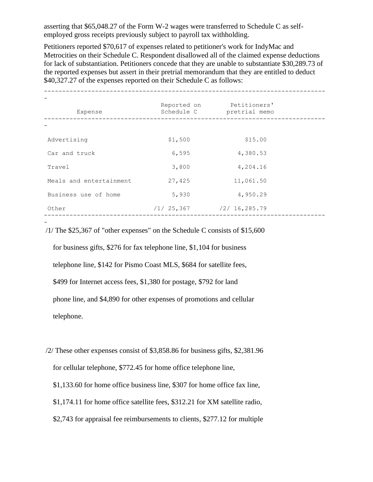asserting that \$65,048.27 of the Form W-2 wages were transferred to Schedule C as selfemployed gross receipts previously subject to payroll tax withholding.

Petitioners reported \$70,617 of expenses related to petitioner's work for IndyMac and Metrocities on their Schedule C. Respondent disallowed all of the claimed expense deductions for lack of substantiation. Petitioners concede that they are unable to substantiate \$30,289.73 of the reported expenses but assert in their pretrial memorandum that they are entitled to deduct \$40,327.27 of the expenses reported on their Schedule C as follows:

| Expense                 | Reported on<br>Schedule C | Petitioners'<br>pretrial memo |  |
|-------------------------|---------------------------|-------------------------------|--|
|                         |                           |                               |  |
| Advertising             | \$1,500                   | \$15.00                       |  |
| Car and truck           | 6,595                     | 4,380.53                      |  |
| Travel                  | 3,800                     | 4,204.16                      |  |
| Meals and entertainment | 27,425                    | 11,061.50                     |  |
| Business use of home    | 5,930                     | 4,950.29                      |  |
| Other                   | /1/25,367                 | /2/16, 285.79                 |  |

/1/ The \$25,367 of "other expenses" on the Schedule C consists of \$15,600

-

 for business gifts, \$276 for fax telephone line, \$1,104 for business telephone line, \$142 for Pismo Coast MLS, \$684 for satellite fees, \$499 for Internet access fees, \$1,380 for postage, \$792 for land phone line, and \$4,890 for other expenses of promotions and cellular telephone.

/2/ These other expenses consist of \$3,858.86 for business gifts, \$2,381.96 for cellular telephone, \$772.45 for home office telephone line, \$1,133.60 for home office business line, \$307 for home office fax line, \$1,174.11 for home office satellite fees, \$312.21 for XM satellite radio, \$2,743 for appraisal fee reimbursements to clients, \$277.12 for multiple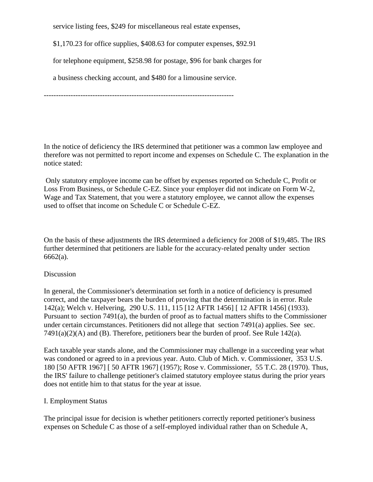service listing fees, \$249 for miscellaneous real estate expenses,

\$1,170.23 for office supplies, \$408.63 for computer expenses, \$92.91

for telephone equipment, \$258.98 for postage, \$96 for bank charges for

a business checking account, and \$480 for a limousine service.

------------------------------------------------------------------------------

In the notice of deficiency the IRS determined that petitioner was a common law employee and therefore was not permitted to report income and expenses on Schedule C. The explanation in the notice stated:

Only statutory employee income can be offset by expenses reported on Schedule C, Profit or Loss From Business, or Schedule C-EZ. Since your employer did not indicate on Form W-2, Wage and Tax Statement, that you were a statutory employee, we cannot allow the expenses used to offset that income on Schedule C or Schedule C-EZ.

On the basis of these adjustments the IRS determined a deficiency for 2008 of \$19,485. The IRS further determined that petitioners are liable for the accuracy-related penalty under section 6662(a).

#### Discussion

In general, the Commissioner's determination set forth in a notice of deficiency is presumed correct, and the taxpayer bears the burden of proving that the determination is in error. Rule 142(a); Welch v. Helvering, 290 U.S. 111, 115 [12 AFTR 1456] [ 12 AFTR 1456] (1933). Pursuant to section 7491(a), the burden of proof as to factual matters shifts to the Commissioner under certain circumstances. Petitioners did not allege that section 7491(a) applies. See sec.  $7491(a)(2)(A)$  and (B). Therefore, petitioners bear the burden of proof. See Rule 142(a).

Each taxable year stands alone, and the Commissioner may challenge in a succeeding year what was condoned or agreed to in a previous year. Auto. Club of Mich. v. Commissioner, 353 U.S. 180 [50 AFTR 1967] [ 50 AFTR 1967] (1957); Rose v. Commissioner, 55 T.C. 28 (1970). Thus, the IRS' failure to challenge petitioner's claimed statutory employee status during the prior years does not entitle him to that status for the year at issue.

#### I. Employment Status

The principal issue for decision is whether petitioners correctly reported petitioner's business expenses on Schedule C as those of a self-employed individual rather than on Schedule A,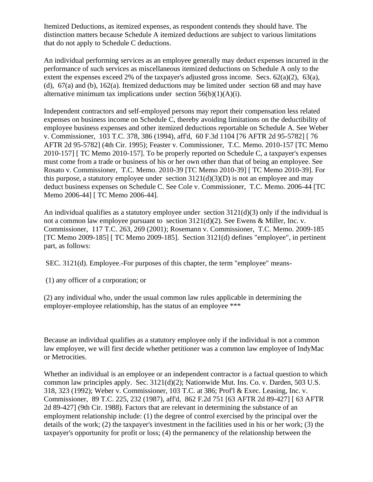Itemized Deductions, as itemized expenses, as respondent contends they should have. The distinction matters because Schedule A itemized deductions are subject to various limitations that do not apply to Schedule C deductions.

An individual performing services as an employee generally may deduct expenses incurred in the performance of such services as miscellaneous itemized deductions on Schedule A only to the extent the expenses exceed 2% of the taxpayer's adjusted gross income. Secs.  $62(a)(2)$ ,  $63(a)$ , (d), 67(a) and (b), 162(a). Itemized deductions may be limited under section 68 and may have alternative minimum tax implications under section  $56(b)(1)(A)(i)$ .

Independent contractors and self-employed persons may report their compensation less related expenses on business income on Schedule C, thereby avoiding limitations on the deductibility of employee business expenses and other itemized deductions reportable on Schedule A. See Weber v. Commissioner, 103 T.C. 378, 386 (1994), aff'd, 60 F.3d 1104 [76 AFTR 2d 95-5782] [ 76 AFTR 2d 95-5782] (4th Cir. 1995); Feaster v. Commissioner, T.C. Memo. 2010-157 [TC Memo 2010-157] [ TC Memo 2010-157]. To be properly reported on Schedule C, a taxpayer's expenses must come from a trade or business of his or her own other than that of being an employee. See Rosato v. Commissioner, T.C. Memo. 2010-39 [TC Memo 2010-39] [ TC Memo 2010-39]. For this purpose, a statutory employee under section  $3121(d)(3)(D)$  is not an employee and may deduct business expenses on Schedule C. See Cole v. Commissioner, T.C. Memo. 2006-44 [TC Memo 2006-44] [ TC Memo 2006-44].

An individual qualifies as a statutory employee under section  $3121(d)(3)$  only if the individual is not a common law employee pursuant to section 3121(d)(2). See Ewens & Miller, Inc. v. Commissioner, 117 T.C. 263, 269 (2001); Rosemann v. Commissioner, T.C. Memo. 2009-185 [TC Memo 2009-185] [ TC Memo 2009-185]. Section 3121(d) defines "employee", in pertinent part, as follows:

SEC. 3121(d). Employee.-For purposes of this chapter, the term "employee" means-

(1) any officer of a corporation; or

(2) any individual who, under the usual common law rules applicable in determining the employer-employee relationship, has the status of an employee \*\*\*

Because an individual qualifies as a statutory employee only if the individual is not a common law employee, we will first decide whether petitioner was a common law employee of IndyMac or Metrocities.

Whether an individual is an employee or an independent contractor is a factual question to which common law principles apply. Sec. 3121(d)(2); Nationwide Mut. Ins. Co. v. Darden, 503 U.S. 318, 323 (1992); Weber v. Commissioner, 103 T.C. at 386; Prof'l & Exec. Leasing, Inc. v. Commissioner, 89 T.C. 225, 232 (1987), aff'd, 862 F.2d 751 [63 AFTR 2d 89-427] [ 63 AFTR 2d 89-427] (9th Cir. 1988). Factors that are relevant in determining the substance of an employment relationship include: (1) the degree of control exercised by the principal over the details of the work; (2) the taxpayer's investment in the facilities used in his or her work; (3) the taxpayer's opportunity for profit or loss; (4) the permanency of the relationship between the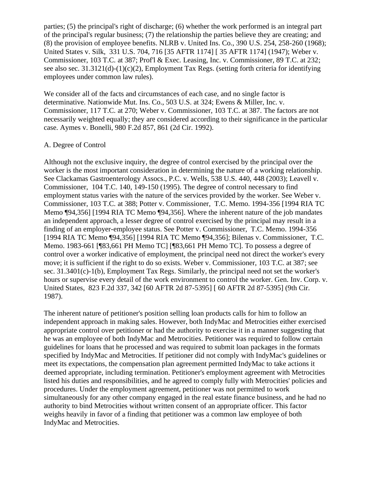parties; (5) the principal's right of discharge; (6) whether the work performed is an integral part of the principal's regular business; (7) the relationship the parties believe they are creating; and (8) the provision of employee benefits. NLRB v. United Ins. Co., 390 U.S. 254, 258-260 (1968); United States v. Silk, 331 U.S. 704, 716 [35 AFTR 1174] [ 35 AFTR 1174] (1947); Weber v. Commissioner, 103 T.C. at 387; Prof'l & Exec. Leasing, Inc. v. Commissioner, 89 T.C. at 232; see also sec. 31.3121(d)-(1)(c)(2), Employment Tax Regs. (setting forth criteria for identifying employees under common law rules).

We consider all of the facts and circumstances of each case, and no single factor is determinative. Nationwide Mut. Ins. Co., 503 U.S. at 324; Ewens & Miller, Inc. v. Commissioner, 117 T.C. at 270; Weber v. Commissioner, 103 T.C. at 387. The factors are not necessarily weighted equally; they are considered according to their significance in the particular case. Aymes v. Bonelli, 980 F.2d 857, 861 (2d Cir. 1992).

#### A. Degree of Control

Although not the exclusive inquiry, the degree of control exercised by the principal over the worker is the most important consideration in determining the nature of a working relationship. See Clackamas Gastroenterology Assocs., P.C. v. Wells, 538 U.S. 440, 448 (2003); Leavell v. Commissioner, 104 T.C. 140, 149-150 (1995). The degree of control necessary to find employment status varies with the nature of the services provided by the worker. See Weber v. Commissioner, 103 T.C. at 388; Potter v. Commissioner, T.C. Memo. 1994-356 [1994 RIA TC Memo ¶94,356] [1994 RIA TC Memo ¶94,356]. Where the inherent nature of the job mandates an independent approach, a lesser degree of control exercised by the principal may result in a finding of an employer-employee status. See Potter v. Commissioner, T.C. Memo. 1994-356 [1994 RIA TC Memo ¶94,356] [1994 RIA TC Memo ¶94,356]; Bilenas v. Commissioner, T.C. Memo. 1983-661 [¶83,661 PH Memo TC] [¶83,661 PH Memo TC]. To possess a degree of control over a worker indicative of employment, the principal need not direct the worker's every move; it is sufficient if the right to do so exists. Weber v. Commissioner, 103 T.C. at 387; see sec. 31.3401(c)-1(b), Employment Tax Regs. Similarly, the principal need not set the worker's hours or supervise every detail of the work environment to control the worker. Gen. Inv. Corp. v. United States, 823 F.2d 337, 342 [60 AFTR 2d 87-5395] [ 60 AFTR 2d 87-5395] (9th Cir. 1987).

The inherent nature of petitioner's position selling loan products calls for him to follow an independent approach in making sales. However, both IndyMac and Metrocities either exercised appropriate control over petitioner or had the authority to exercise it in a manner suggesting that he was an employee of both IndyMac and Metrocities. Petitioner was required to follow certain guidelines for loans that he processed and was required to submit loan packages in the formats specified by IndyMac and Metrocities. If petitioner did not comply with IndyMac's guidelines or meet its expectations, the compensation plan agreement permitted IndyMac to take actions it deemed appropriate, including termination. Petitioner's employment agreement with Metrocities listed his duties and responsibilities, and he agreed to comply fully with Metrocities' policies and procedures. Under the employment agreement, petitioner was not permitted to work simultaneously for any other company engaged in the real estate finance business, and he had no authority to bind Metrocities without written consent of an appropriate officer. This factor weighs heavily in favor of a finding that petitioner was a common law employee of both IndyMac and Metrocities.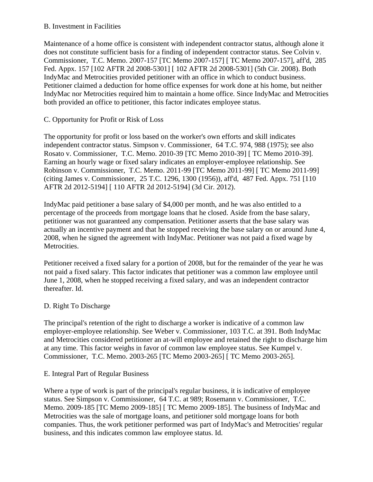#### B. Investment in Facilities

Maintenance of a home office is consistent with independent contractor status, although alone it does not constitute sufficient basis for a finding of independent contractor status. See Colvin v. Commissioner, T.C. Memo. 2007-157 [TC Memo 2007-157] [ TC Memo 2007-157], aff'd, 285 Fed. Appx. 157 [102 AFTR 2d 2008-5301] [ 102 AFTR 2d 2008-5301] (5th Cir. 2008). Both IndyMac and Metrocities provided petitioner with an office in which to conduct business. Petitioner claimed a deduction for home office expenses for work done at his home, but neither IndyMac nor Metrocities required him to maintain a home office. Since IndyMac and Metrocities both provided an office to petitioner, this factor indicates employee status.

### C. Opportunity for Profit or Risk of Loss

The opportunity for profit or loss based on the worker's own efforts and skill indicates independent contractor status. Simpson v. Commissioner, 64 T.C. 974, 988 (1975); see also Rosato v. Commissioner, T.C. Memo. 2010-39 [TC Memo 2010-39] [ TC Memo 2010-39]. Earning an hourly wage or fixed salary indicates an employer-employee relationship. See Robinson v. Commissioner, T.C. Memo. 2011-99 [TC Memo 2011-99] [ TC Memo 2011-99] (citing James v. Commissioner, 25 T.C. 1296, 1300 (1956)), aff'd, 487 Fed. Appx. 751 [110 AFTR 2d 2012-5194] [ 110 AFTR 2d 2012-5194] (3d Cir. 2012).

IndyMac paid petitioner a base salary of \$4,000 per month, and he was also entitled to a percentage of the proceeds from mortgage loans that he closed. Aside from the base salary, petitioner was not guaranteed any compensation. Petitioner asserts that the base salary was actually an incentive payment and that he stopped receiving the base salary on or around June 4, 2008, when he signed the agreement with IndyMac. Petitioner was not paid a fixed wage by Metrocities.

Petitioner received a fixed salary for a portion of 2008, but for the remainder of the year he was not paid a fixed salary. This factor indicates that petitioner was a common law employee until June 1, 2008, when he stopped receiving a fixed salary, and was an independent contractor thereafter. Id.

### D. Right To Discharge

The principal's retention of the right to discharge a worker is indicative of a common law employer-employee relationship. See Weber v. Commissioner, 103 T.C. at 391. Both IndyMac and Metrocities considered petitioner an at-will employee and retained the right to discharge him at any time. This factor weighs in favor of common law employee status. See Kumpel v. Commissioner, T.C. Memo. 2003-265 [TC Memo 2003-265] [ TC Memo 2003-265].

### E. Integral Part of Regular Business

Where a type of work is part of the principal's regular business, it is indicative of employee status. See Simpson v. Commissioner, 64 T.C. at 989; Rosemann v. Commissioner, T.C. Memo. 2009-185 [TC Memo 2009-185] [ TC Memo 2009-185]. The business of IndyMac and Metrocities was the sale of mortgage loans, and petitioner sold mortgage loans for both companies. Thus, the work petitioner performed was part of IndyMac's and Metrocities' regular business, and this indicates common law employee status. Id.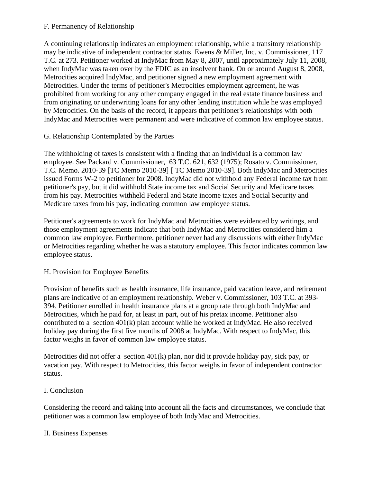### F. Permanency of Relationship

A continuing relationship indicates an employment relationship, while a transitory relationship may be indicative of independent contractor status. Ewens & Miller, Inc. v. Commissioner, 117 T.C. at 273. Petitioner worked at IndyMac from May 8, 2007, until approximately July 11, 2008, when IndyMac was taken over by the FDIC as an insolvent bank. On or around August 8, 2008, Metrocities acquired IndyMac, and petitioner signed a new employment agreement with Metrocities. Under the terms of petitioner's Metrocities employment agreement, he was prohibited from working for any other company engaged in the real estate finance business and from originating or underwriting loans for any other lending institution while he was employed by Metrocities. On the basis of the record, it appears that petitioner's relationships with both IndyMac and Metrocities were permanent and were indicative of common law employee status.

### G. Relationship Contemplated by the Parties

The withholding of taxes is consistent with a finding that an individual is a common law employee. See Packard v. Commissioner, 63 T.C. 621, 632 (1975); Rosato v. Commissioner, T.C. Memo. 2010-39 [TC Memo 2010-39] [ TC Memo 2010-39]. Both IndyMac and Metrocities issued Forms W-2 to petitioner for 2008. IndyMac did not withhold any Federal income tax from petitioner's pay, but it did withhold State income tax and Social Security and Medicare taxes from his pay. Metrocities withheld Federal and State income taxes and Social Security and Medicare taxes from his pay, indicating common law employee status.

Petitioner's agreements to work for IndyMac and Metrocities were evidenced by writings, and those employment agreements indicate that both IndyMac and Metrocities considered him a common law employee. Furthermore, petitioner never had any discussions with either IndyMac or Metrocities regarding whether he was a statutory employee. This factor indicates common law employee status.

## H. Provision for Employee Benefits

Provision of benefits such as health insurance, life insurance, paid vacation leave, and retirement plans are indicative of an employment relationship. Weber v. Commissioner, 103 T.C. at 393- 394. Petitioner enrolled in health insurance plans at a group rate through both IndyMac and Metrocities, which he paid for, at least in part, out of his pretax income. Petitioner also contributed to a section 401(k) plan account while he worked at IndyMac. He also received holiday pay during the first five months of 2008 at IndyMac. With respect to IndyMac, this factor weighs in favor of common law employee status.

Metrocities did not offer a section  $401(k)$  plan, nor did it provide holiday pay, sick pay, or vacation pay. With respect to Metrocities, this factor weighs in favor of independent contractor status.

### I. Conclusion

Considering the record and taking into account all the facts and circumstances, we conclude that petitioner was a common law employee of both IndyMac and Metrocities.

### II. Business Expenses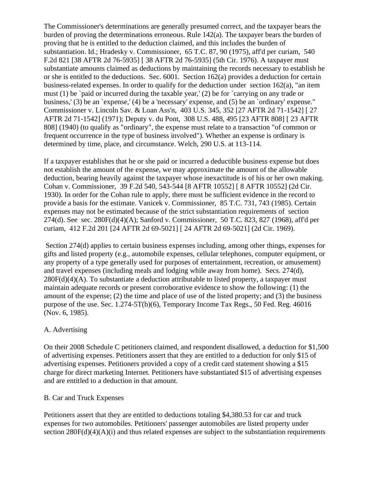The Commissioner's determinations are generally presumed correct, and the taxpayer bears the burden of proving the determinations erroneous. Rule 142(a). The taxpayer bears the burden of proving that he is entitled to the deduction claimed, and this includes the burden of substantiation. Id.; Hradesky v. Commissioner, 65 T.C. 87, 90 (1975), aff'd per curiam, 540 F.2d 821 [38 AFTR 2d 76-5935] [ 38 AFTR 2d 76-5935] (5th Cir. 1976). A taxpayer must substantiate amounts claimed as deductions by maintaining the records necessary to establish he or she is entitled to the deductions. Sec. 6001. Section 162(a) provides a deduction for certain business-related expenses. In order to qualify for the deduction under section  $162(a)$ , "an item must (1) be `paid or incurred during the taxable year,' (2) be for `carrying on any trade or business,' (3) be an `expense,' (4) be a 'necessary' expense, and (5) be an `ordinary' expense." Commissioner v. Lincoln Sav. & Loan Ass'n, 403 U.S. 345, 352 [27 AFTR 2d 71-1542] [ 27 AFTR 2d 71-1542] (1971); Deputy v. du Pont, 308 U.S. 488, 495 [23 AFTR 808] [ 23 AFTR 808] (1940) (to qualify as "ordinary", the expense must relate to a transaction "of common or frequent occurrence in the type of business involved"). Whether an expense is ordinary is determined by time, place, and circumstance. Welch, 290 U.S. at 113-114.

If a taxpayer establishes that he or she paid or incurred a deductible business expense but does not establish the amount of the expense, we may approximate the amount of the allowable deduction, bearing heavily against the taxpayer whose inexactitude is of his or her own making. Cohan v. Commissioner, 39 F.2d 540, 543-544 [8 AFTR 10552] [ 8 AFTR 10552] (2d Cir. 1930). In order for the Cohan rule to apply, there must be sufficient evidence in the record to provide a basis for the estimate. Vanicek v. Commissioner, 85 T.C. 731, 743 (1985). Certain expenses may not be estimated because of the strict substantiation requirements of section 274(d). See sec. 280F(d)(4)(A); Sanford v. Commissioner, 50 T.C. 823, 827 (1968), aff'd per curiam, 412 F.2d 201 [24 AFTR 2d 69-5021] [ 24 AFTR 2d 69-5021] (2d Cir. 1969).

Section 274(d) applies to certain business expenses including, among other things, expenses for gifts and listed property (e.g., automobile expenses, cellular telephones, computer equipment, or any property of a type generally used for purposes of entertainment, recreation, or amusement) and travel expenses (including meals and lodging while away from home). Secs. 274(d), 280F(d)(4)(A). To substantiate a deduction attributable to listed property, a taxpayer must maintain adequate records or present corroborative evidence to show the following: (1) the amount of the expense; (2) the time and place of use of the listed property; and (3) the business purpose of the use. Sec. 1.274-5T(b)(6), Temporary Income Tax Regs., 50 Fed. Reg. 46016 (Nov. 6, 1985).

#### A. Advertising

On their 2008 Schedule C petitioners claimed, and respondent disallowed, a deduction for \$1,500 of advertising expenses. Petitioners assert that they are entitled to a deduction for only \$15 of advertising expenses. Petitioners provided a copy of a credit card statement showing a \$15 charge for direct marketing Internet. Petitioners have substantiated \$15 of advertising expenses and are entitled to a deduction in that amount.

#### B. Car and Truck Expenses

Petitioners assert that they are entitled to deductions totaling \$4,380.53 for car and truck expenses for two automobiles. Petitioners' passenger automobiles are listed property under section  $280F(d)(4)(A)(i)$  and thus related expenses are subject to the substantiation requirements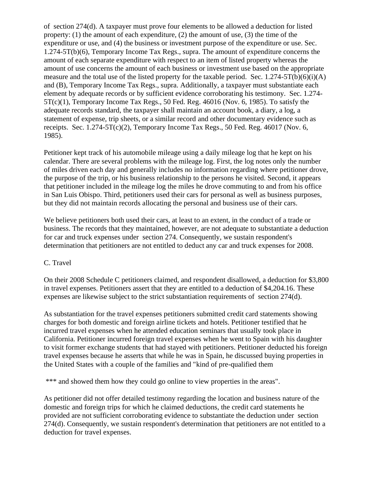of section 274(d). A taxpayer must prove four elements to be allowed a deduction for listed property: (1) the amount of each expenditure, (2) the amount of use, (3) the time of the expenditure or use, and (4) the business or investment purpose of the expenditure or use. Sec. 1.274-5T(b)(6), Temporary Income Tax Regs., supra. The amount of expenditure concerns the amount of each separate expenditure with respect to an item of listed property whereas the amount of use concerns the amount of each business or investment use based on the appropriate measure and the total use of the listed property for the taxable period. Sec.  $1.274-5T(b)(6)(i)(A)$ and (B), Temporary Income Tax Regs., supra. Additionally, a taxpayer must substantiate each element by adequate records or by sufficient evidence corroborating his testimony. Sec. 1.274-  $5T(c)(1)$ , Temporary Income Tax Regs., 50 Fed. Reg. 46016 (Nov. 6, 1985). To satisfy the adequate records standard, the taxpayer shall maintain an account book, a diary, a log, a statement of expense, trip sheets, or a similar record and other documentary evidence such as receipts. Sec.  $1.274 - 5T(c)(2)$ , Temporary Income Tax Regs., 50 Fed. Reg. 46017 (Nov. 6, 1985).

Petitioner kept track of his automobile mileage using a daily mileage log that he kept on his calendar. There are several problems with the mileage log. First, the log notes only the number of miles driven each day and generally includes no information regarding where petitioner drove, the purpose of the trip, or his business relationship to the persons he visited. Second, it appears that petitioner included in the mileage log the miles he drove commuting to and from his office in San Luis Obispo. Third, petitioners used their cars for personal as well as business purposes, but they did not maintain records allocating the personal and business use of their cars.

We believe petitioners both used their cars, at least to an extent, in the conduct of a trade or business. The records that they maintained, however, are not adequate to substantiate a deduction for car and truck expenses under section 274. Consequently, we sustain respondent's determination that petitioners are not entitled to deduct any car and truck expenses for 2008.

#### C. Travel

On their 2008 Schedule C petitioners claimed, and respondent disallowed, a deduction for \$3,800 in travel expenses. Petitioners assert that they are entitled to a deduction of \$4,204.16. These expenses are likewise subject to the strict substantiation requirements of section 274(d).

As substantiation for the travel expenses petitioners submitted credit card statements showing charges for both domestic and foreign airline tickets and hotels. Petitioner testified that he incurred travel expenses when he attended education seminars that usually took place in California. Petitioner incurred foreign travel expenses when he went to Spain with his daughter to visit former exchange students that had stayed with petitioners. Petitioner deducted his foreign travel expenses because he asserts that while he was in Spain, he discussed buying properties in the United States with a couple of the families and "kind of pre-qualified them

\*\*\* and showed them how they could go online to view properties in the areas".

As petitioner did not offer detailed testimony regarding the location and business nature of the domestic and foreign trips for which he claimed deductions, the credit card statements he provided are not sufficient corroborating evidence to substantiate the deduction under section 274(d). Consequently, we sustain respondent's determination that petitioners are not entitled to a deduction for travel expenses.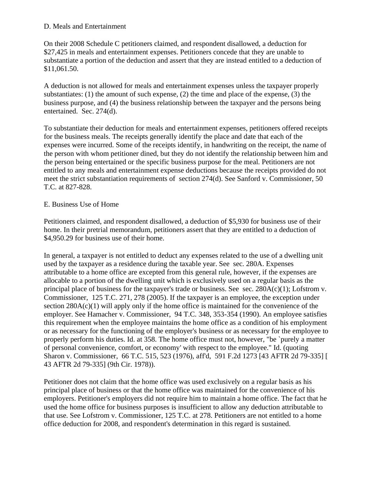#### D. Meals and Entertainment

On their 2008 Schedule C petitioners claimed, and respondent disallowed, a deduction for \$27,425 in meals and entertainment expenses. Petitioners concede that they are unable to substantiate a portion of the deduction and assert that they are instead entitled to a deduction of \$11,061.50.

A deduction is not allowed for meals and entertainment expenses unless the taxpayer properly substantiates: (1) the amount of such expense, (2) the time and place of the expense, (3) the business purpose, and (4) the business relationship between the taxpayer and the persons being entertained. Sec. 274(d).

To substantiate their deduction for meals and entertainment expenses, petitioners offered receipts for the business meals. The receipts generally identify the place and date that each of the expenses were incurred. Some of the receipts identify, in handwriting on the receipt, the name of the person with whom petitioner dined, but they do not identify the relationship between him and the person being entertained or the specific business purpose for the meal. Petitioners are not entitled to any meals and entertainment expense deductions because the receipts provided do not meet the strict substantiation requirements of section 274(d). See Sanford v. Commissioner, 50 T.C. at 827-828.

#### E. Business Use of Home

Petitioners claimed, and respondent disallowed, a deduction of \$5,930 for business use of their home. In their pretrial memorandum, petitioners assert that they are entitled to a deduction of \$4,950.29 for business use of their home.

In general, a taxpayer is not entitled to deduct any expenses related to the use of a dwelling unit used by the taxpayer as a residence during the taxable year. See sec. 280A. Expenses attributable to a home office are excepted from this general rule, however, if the expenses are allocable to a portion of the dwelling unit which is exclusively used on a regular basis as the principal place of business for the taxpayer's trade or business. See sec. 280A(c)(1); Lofstrom v. Commissioner, 125 T.C. 271, 278 (2005). If the taxpayer is an employee, the exception under section  $280A(c)(1)$  will apply only if the home office is maintained for the convenience of the employer. See Hamacher v. Commissioner, 94 T.C. 348, 353-354 (1990). An employee satisfies this requirement when the employee maintains the home office as a condition of his employment or as necessary for the functioning of the employer's business or as necessary for the employee to properly perform his duties. Id. at 358. The home office must not, however, "be `purely a matter of personal convenience, comfort, or economy' with respect to the employee." Id. (quoting Sharon v. Commissioner, 66 T.C. 515, 523 (1976), aff'd, 591 F.2d 1273 [43 AFTR 2d 79-335] [ 43 AFTR 2d 79-335] (9th Cir. 1978)).

Petitioner does not claim that the home office was used exclusively on a regular basis as his principal place of business or that the home office was maintained for the convenience of his employers. Petitioner's employers did not require him to maintain a home office. The fact that he used the home office for business purposes is insufficient to allow any deduction attributable to that use. See Lofstrom v. Commissioner, 125 T.C. at 278. Petitioners are not entitled to a home office deduction for 2008, and respondent's determination in this regard is sustained.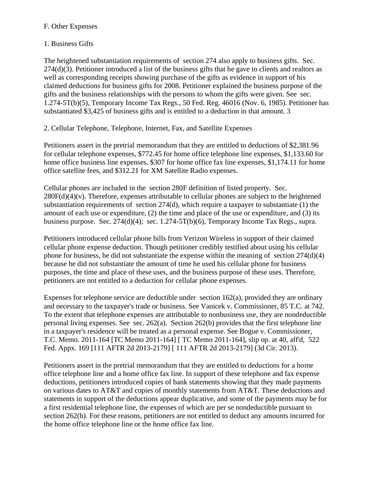### F. Other Expenses

## 1. Business Gifts

The heightened substantiation requirements of section 274 also apply to business gifts. Sec. 274(d)(3). Petitioner introduced a list of the business gifts that he gave to clients and realtors as well as corresponding receipts showing purchase of the gifts as evidence in support of his claimed deductions for business gifts for 2008. Petitioner explained the business purpose of the gifts and the business relationships with the persons to whom the gifts were given. See sec. 1.274-5T(b)(5), Temporary Income Tax Regs., 50 Fed. Reg. 46016 (Nov. 6, 1985). Petitioner has substantiated \$3,425 of business gifts and is entitled to a deduction in that amount. 3

2. Cellular Telephone, Telephone, Internet, Fax, and Satellite Expenses

Petitioners assert in the pretrial memorandum that they are entitled to deductions of \$2,381.96 for cellular telephone expenses, \$772.45 for home office telephone line expenses, \$1,133.60 for home office business line expenses, \$307 for home office fax line expenses, \$1,174.11 for home office satellite fees, and \$312.21 for XM Satellite Radio expenses.

Cellular phones are included in the section 280F definition of listed property. Sec.  $280F(d)(4)(v)$ . Therefore, expenses attributable to cellular phones are subject to the heightened substantiation requirements of section  $274(d)$ , which require a taxpayer to substantiate (1) the amount of each use or expenditure, (2) the time and place of the use or expenditure, and (3) its business purpose. Sec. 274(d)(4); sec. 1.274-5T(b)(6), Temporary Income Tax Regs., supra.

Petitioners introduced cellular phone bills from Verizon Wireless in support of their claimed cellular phone expense deduction. Though petitioner credibly testified about using his cellular phone for business, he did not substantiate the expense within the meaning of section 274(d)(4) because he did not substantiate the amount of time he used his cellular phone for business purposes, the time and place of these uses, and the business purpose of these uses. Therefore, petitioners are not entitled to a deduction for cellular phone expenses.

Expenses for telephone service are deductible under section  $162(a)$ , provided they are ordinary and necessary to the taxpayer's trade or business. See Vanicek v. Commissioner, 85 T.C. at 742. To the extent that telephone expenses are attributable to nonbusiness use, they are nondeductible personal living expenses. See sec.  $262(a)$ . Section  $262(b)$  provides that the first telephone line in a taxpayer's residence will be treated as a personal expense. See Bogue v. Commissioner, T.C. Memo. 2011-164 [TC Memo 2011-164] [ TC Memo 2011-164], slip op. at 40, aff'd, 522 Fed. Appx. 169 [111 AFTR 2d 2013-2179] [ 111 AFTR 2d 2013-2179] (3d Cir. 2013).

Petitioners assert in the pretrial memorandum that they are entitled to deductions for a home office telephone line and a home office fax line. In support of these telephone and fax expense deductions, petitioners introduced copies of bank statements showing that they made payments on various dates to AT&T and copies of monthly statements from AT&T. These deductions and statements in support of the deductions appear duplicative, and some of the payments may be for a first residential telephone line, the expenses of which are per se nondeductible pursuant to section 262(b). For these reasons, petitioners are not entitled to deduct any amounts incurred for the home office telephone line or the home office fax line.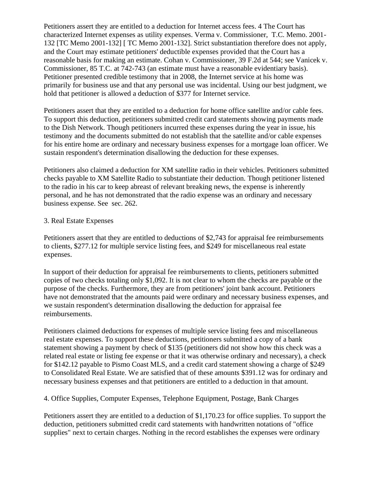Petitioners assert they are entitled to a deduction for Internet access fees. 4 The Court has characterized Internet expenses as utility expenses. Verma v. Commissioner, T.C. Memo. 2001- 132 [TC Memo 2001-132] [ TC Memo 2001-132]. Strict substantiation therefore does not apply, and the Court may estimate petitioners' deductible expenses provided that the Court has a reasonable basis for making an estimate. Cohan v. Commissioner, 39 F.2d at 544; see Vanicek v. Commissioner, 85 T.C. at 742-743 (an estimate must have a reasonable evidentiary basis). Petitioner presented credible testimony that in 2008, the Internet service at his home was primarily for business use and that any personal use was incidental. Using our best judgment, we hold that petitioner is allowed a deduction of \$377 for Internet service.

Petitioners assert that they are entitled to a deduction for home office satellite and/or cable fees. To support this deduction, petitioners submitted credit card statements showing payments made to the Dish Network. Though petitioners incurred these expenses during the year in issue, his testimony and the documents submitted do not establish that the satellite and/or cable expenses for his entire home are ordinary and necessary business expenses for a mortgage loan officer. We sustain respondent's determination disallowing the deduction for these expenses.

Petitioners also claimed a deduction for XM satellite radio in their vehicles. Petitioners submitted checks payable to XM Satellite Radio to substantiate their deduction. Though petitioner listened to the radio in his car to keep abreast of relevant breaking news, the expense is inherently personal, and he has not demonstrated that the radio expense was an ordinary and necessary business expense. See sec. 262.

#### 3. Real Estate Expenses

Petitioners assert that they are entitled to deductions of \$2,743 for appraisal fee reimbursements to clients, \$277.12 for multiple service listing fees, and \$249 for miscellaneous real estate expenses.

In support of their deduction for appraisal fee reimbursements to clients, petitioners submitted copies of two checks totaling only \$1,092. It is not clear to whom the checks are payable or the purpose of the checks. Furthermore, they are from petitioners' joint bank account. Petitioners have not demonstrated that the amounts paid were ordinary and necessary business expenses, and we sustain respondent's determination disallowing the deduction for appraisal fee reimbursements.

Petitioners claimed deductions for expenses of multiple service listing fees and miscellaneous real estate expenses. To support these deductions, petitioners submitted a copy of a bank statement showing a payment by check of \$135 (petitioners did not show how this check was a related real estate or listing fee expense or that it was otherwise ordinary and necessary), a check for \$142.12 payable to Pismo Coast MLS, and a credit card statement showing a charge of \$249 to Consolidated Real Estate. We are satisfied that of these amounts \$391.12 was for ordinary and necessary business expenses and that petitioners are entitled to a deduction in that amount.

4. Office Supplies, Computer Expenses, Telephone Equipment, Postage, Bank Charges

Petitioners assert they are entitled to a deduction of \$1,170.23 for office supplies. To support the deduction, petitioners submitted credit card statements with handwritten notations of "office supplies" next to certain charges. Nothing in the record establishes the expenses were ordinary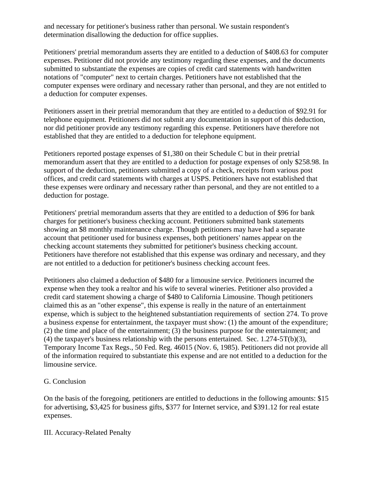and necessary for petitioner's business rather than personal. We sustain respondent's determination disallowing the deduction for office supplies.

Petitioners' pretrial memorandum asserts they are entitled to a deduction of \$408.63 for computer expenses. Petitioner did not provide any testimony regarding these expenses, and the documents submitted to substantiate the expenses are copies of credit card statements with handwritten notations of "computer" next to certain charges. Petitioners have not established that the computer expenses were ordinary and necessary rather than personal, and they are not entitled to a deduction for computer expenses.

Petitioners assert in their pretrial memorandum that they are entitled to a deduction of \$92.91 for telephone equipment. Petitioners did not submit any documentation in support of this deduction, nor did petitioner provide any testimony regarding this expense. Petitioners have therefore not established that they are entitled to a deduction for telephone equipment.

Petitioners reported postage expenses of \$1,380 on their Schedule C but in their pretrial memorandum assert that they are entitled to a deduction for postage expenses of only \$258.98. In support of the deduction, petitioners submitted a copy of a check, receipts from various post offices, and credit card statements with charges at USPS. Petitioners have not established that these expenses were ordinary and necessary rather than personal, and they are not entitled to a deduction for postage.

Petitioners' pretrial memorandum asserts that they are entitled to a deduction of \$96 for bank charges for petitioner's business checking account. Petitioners submitted bank statements showing an \$8 monthly maintenance charge. Though petitioners may have had a separate account that petitioner used for business expenses, both petitioners' names appear on the checking account statements they submitted for petitioner's business checking account. Petitioners have therefore not established that this expense was ordinary and necessary, and they are not entitled to a deduction for petitioner's business checking account fees.

Petitioners also claimed a deduction of \$480 for a limousine service. Petitioners incurred the expense when they took a realtor and his wife to several wineries. Petitioner also provided a credit card statement showing a charge of \$480 to California Limousine. Though petitioners claimed this as an "other expense", this expense is really in the nature of an entertainment expense, which is subject to the heightened substantiation requirements of section 274. To prove a business expense for entertainment, the taxpayer must show: (1) the amount of the expenditure; (2) the time and place of the entertainment; (3) the business purpose for the entertainment; and (4) the taxpayer's business relationship with the persons entertained. Sec. 1.274-5T(b)(3), Temporary Income Tax Regs., 50 Fed. Reg. 46015 (Nov. 6, 1985). Petitioners did not provide all of the information required to substantiate this expense and are not entitled to a deduction for the limousine service.

### G. Conclusion

On the basis of the foregoing, petitioners are entitled to deductions in the following amounts: \$15 for advertising, \$3,425 for business gifts, \$377 for Internet service, and \$391.12 for real estate expenses.

### III. Accuracy-Related Penalty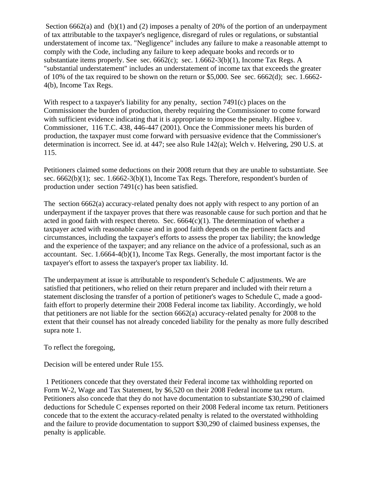Section 6662(a) and (b)(1) and (2) imposes a penalty of 20% of the portion of an underpayment of tax attributable to the taxpayer's negligence, disregard of rules or regulations, or substantial understatement of income tax. "Negligence" includes any failure to make a reasonable attempt to comply with the Code, including any failure to keep adequate books and records or to substantiate items properly. See sec.  $6662(c)$ ; sec.  $1.6662-3(b)(1)$ , Income Tax Regs. A "substantial understatement" includes an understatement of income tax that exceeds the greater of 10% of the tax required to be shown on the return or \$5,000. See sec. 6662(d); sec. 1.6662- 4(b), Income Tax Regs.

With respect to a taxpayer's liability for any penalty, section  $7491(c)$  places on the Commissioner the burden of production, thereby requiring the Commissioner to come forward with sufficient evidence indicating that it is appropriate to impose the penalty. Higbee v. Commissioner, 116 T.C. 438, 446-447 (2001). Once the Commissioner meets his burden of production, the taxpayer must come forward with persuasive evidence that the Commissioner's determination is incorrect. See id. at 447; see also Rule 142(a); Welch v. Helvering, 290 U.S. at 115.

Petitioners claimed some deductions on their 2008 return that they are unable to substantiate. See sec. 6662(b)(1); sec. 1.6662-3(b)(1), Income Tax Regs. Therefore, respondent's burden of production under section 7491(c) has been satisfied.

The section 6662(a) accuracy-related penalty does not apply with respect to any portion of an underpayment if the taxpayer proves that there was reasonable cause for such portion and that he acted in good faith with respect thereto. Sec.  $6664(c)(1)$ . The determination of whether a taxpayer acted with reasonable cause and in good faith depends on the pertinent facts and circumstances, including the taxpayer's efforts to assess the proper tax liability; the knowledge and the experience of the taxpayer; and any reliance on the advice of a professional, such as an accountant. Sec. 1.6664-4(b)(1), Income Tax Regs. Generally, the most important factor is the taxpayer's effort to assess the taxpayer's proper tax liability. Id.

The underpayment at issue is attributable to respondent's Schedule C adjustments. We are satisfied that petitioners, who relied on their return preparer and included with their return a statement disclosing the transfer of a portion of petitioner's wages to Schedule C, made a goodfaith effort to properly determine their 2008 Federal income tax liability. Accordingly, we hold that petitioners are not liable for the section 6662(a) accuracy-related penalty for 2008 to the extent that their counsel has not already conceded liability for the penalty as more fully described supra note 1.

To reflect the foregoing,

Decision will be entered under Rule 155.

1 Petitioners concede that they overstated their Federal income tax withholding reported on Form W-2, Wage and Tax Statement, by \$6,520 on their 2008 Federal income tax return. Petitioners also concede that they do not have documentation to substantiate \$30,290 of claimed deductions for Schedule C expenses reported on their 2008 Federal income tax return. Petitioners concede that to the extent the accuracy-related penalty is related to the overstated withholding and the failure to provide documentation to support \$30,290 of claimed business expenses, the penalty is applicable.